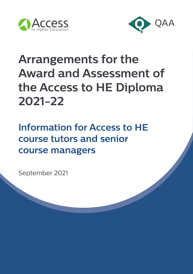



# **Arrangements for the Award and Assessment of the Access to HE Diploma 2021-22**

## **Information for Access to HE course tutors and senior course managers**

September 2021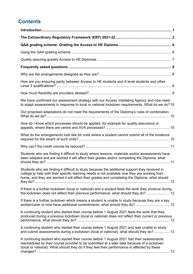## **Contents**

| How are you ensuring parity between Access to HE students and A level students and other                                                                                                                                                                                                          |
|---------------------------------------------------------------------------------------------------------------------------------------------------------------------------------------------------------------------------------------------------------------------------------------------------|
|                                                                                                                                                                                                                                                                                                   |
| We have confirmed our assessment strategy with our Access Validating Agency and now need<br>to adapt assessments in response to local or national lockdown requirements. What do we do?10                                                                                                         |
| Our proposed adaptations do not meet the requirements of the Diploma's rules of combination.                                                                                                                                                                                                      |
| How do I know which processes should be applied, for example for quality assurance or                                                                                                                                                                                                             |
| What do the arrangements look like for units where a student cannot submit all of the evidence                                                                                                                                                                                                    |
|                                                                                                                                                                                                                                                                                                   |
| Students who are finding it difficult to study where lessons, materials and/or assessments have<br>been adapted and are worried it will affect their grades and/or completing the Diploma, what                                                                                                   |
| Students who are finding it difficult to study because the additional support they received in<br>college to help with their specific learning needs is not available now they are working from<br>home, and they are worried it will affect their grades and completing the Diploma, what should |
| If there is a further lockdown (local or national) and a student feels the work they produce during<br>the lockdown does not reflect their previous performance, what should they do?  12                                                                                                         |
| If there is a further lockdown which means a student is unable to study because they are a key                                                                                                                                                                                                    |
| A continuing student who started their course before 1 August 2021 feels the work that they<br>produced during a previous lockdown (local or national) does not reflect their current or previous                                                                                                 |
| A continuing student who started their course before 1 August 2021 and was unable to study<br>and submit assessments during a lockdown (local or national), what should they do? 13                                                                                                               |
| A continuing student who started their course before 1 August 2021 had their assessments<br>rescheduled by their course provider to be submitted at a later date because of a lockdown<br>(local or national). What should they do if they feel their performance is affected by these            |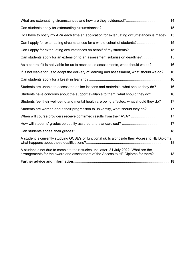| Do I have to notify my AVA each time an application for extenuating circumstances is made? 15                                                                                |
|------------------------------------------------------------------------------------------------------------------------------------------------------------------------------|
|                                                                                                                                                                              |
|                                                                                                                                                                              |
| Can students apply for an extension to an assessment submission deadline? 15                                                                                                 |
| As a centre if it is not viable for us to reschedule assessments, what should we do? 16                                                                                      |
| If is not viable for us to adapt the delivery of learning and assessment, what should we do? 16                                                                              |
|                                                                                                                                                                              |
| Students are unable to access the online lessons and materials, what should they do? 16                                                                                      |
| Students have concerns about the support available to them, what should they do? 16                                                                                          |
| Students feel their well-being and mental health are being affected, what should they do?  17                                                                                |
| Students are worried about their progression to university, what should they do? 17                                                                                          |
|                                                                                                                                                                              |
|                                                                                                                                                                              |
|                                                                                                                                                                              |
| A student is currently studying GCSE's or functional skills alongside their Access to HE Diploma,                                                                            |
| A student is not due to complete their studies until after 31 July 2022. What are the<br>arrangements for the award and assessment of the Access to HE Diploma for them?  18 |
|                                                                                                                                                                              |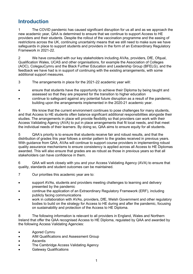## <span id="page-3-0"></span>**Introduction**

1 The COVID pandemic has caused significant disruption for us all and as we approach the new academic year, QAA is determined to ensure that we continue to support Access to HE providers and their students. Despite the rollout of the vaccination programme and the easing of restrictions across the UK, continuing uncertainty means that we still need to make sure we have safeguards in place to support students and providers in the form of an Extraordinary Regulatory Framework in 2021-22.

2 We have consulted with our key stakeholders including AVAs, providers, DfE, Ofqual, Qualification Wales, UCAS and other organisations, for example the Association of Colleges (AOC), ColegauCymru and the Black Further Education and Leadership Group (BFELG), and the feedback we have had is in support of continuing with the existing arrangements, with some additional support measures.

3 The arrangements in place for the 2021-22 academic year will:

- ensure that students have the opportunity to achieve their Diploma by being taught and assessed so that they are prepared for the transition to higher education
- continue to safeguard against any potential future disruption as a result of the pandemic, building upon the arrangements implemented in the 2020-21 academic year.

4 We know that the current environment continues to pose challenges for many students, and that Access to HE students often balance significant additional responsibilities alongside their studies. The arrangements in place will provide flexibility so that providers can work with their Access Validating Agency (AVA) to put in place arrangements that fit local needs, and that meet the individual needs of their learners. By doing so, QAA aims to ensure equity for all students.

5 QAA's priority is to ensure that students receive fair and robust results, and that the distribution of grades this year follows a similar pattern to the grades received in previous years. With guidance from QAA, AVAs will continue to support course providers in implementing robust quality assurance mechanisms to ensure consistency is applied across all Access to HE Diplomas awarded. This will also ensure that grades are as robust as those in previous years so that all stakeholders can have confidence in them.

6 QAA will work closely with you and your Access Validating Agency (AVA) to ensure that quality, standards and student outcomes can be maintained.

- 7 Our priorities this academic year are to:
- support AVAs, students and providers meeting challenges to learning and delivery presented by the pandemic
- continue the application of an Extraordinary Regulatory Framework (ERF), including publicly facing communications
- work in collaboration with AVAs, providers, DfE, Welsh Government and other regulatory bodies to build on the strategy for Access to HE during and after the pandemic, focusing on sustainability and protection of the Access to HE Diploma.

8 The following information is relevant to all providers in England, Wales and Northern Ireland that offer the QAA recognised Access to HE Diploma, regulated by QAA and awarded by the following Access Validating Agencies:

- Agored Cymru
- AIM Qualifications and Assessment Group
- **Ascentis**
- The Cambridge Access Validating Agency
- Gateway Qualifications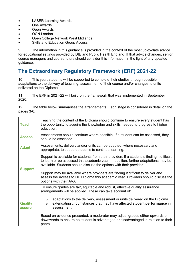- LASER Learning Awards
- One Awards
- Open Awards
- OCN London
- Open College Network West Midlands
- Skills and Education Group Access

9 The information in this guidance is provided in the context of the most up-to-date advice for educational settings provided by DfE and Public Health England. If that advice changes, senior course managers and course tutors should consider this information in the light of any updated guidance.

## <span id="page-4-0"></span>**The Extraordinary Regulatory Framework (ERF) 2021-22**

10 This year, students will be supported to complete their studies through possible adaptations to the delivery of teaching, assessment of their course and/or changes to units delivered on the Diploma.

11 The ERF in 2021-22 will build on the framework that was implemented in September 2020.

| 12<br>pages 3-6. |  |  | The table below summarises the arrangements. Each stage is considered in detail on the |  |  |  |
|------------------|--|--|----------------------------------------------------------------------------------------|--|--|--|
|                  |  |  |                                                                                        |  |  |  |

| <b>Teach</b>             | Teaching the content of the Diploma should continue to ensure every student has<br>the opportunity to acquire the knowledge and skills needed to progress to higher<br>education.                                                                                                                                                                                                                                                                                                                                             |
|--------------------------|-------------------------------------------------------------------------------------------------------------------------------------------------------------------------------------------------------------------------------------------------------------------------------------------------------------------------------------------------------------------------------------------------------------------------------------------------------------------------------------------------------------------------------|
| <b>Assess</b>            | Assessments should continue where possible. If a student can be assessed, they<br>should be assessed.                                                                                                                                                                                                                                                                                                                                                                                                                         |
| <b>Adapt</b>             | Assessments, delivery and/or units can be adapted, where necessary and<br>appropriate, to support students to continue learning.                                                                                                                                                                                                                                                                                                                                                                                              |
| <b>Support</b>           | Support is available for students from their providers if a student is finding it difficult<br>to learn or be assessed this academic year. In addition, further adaptations may be<br>available. Students should discuss the options with their provider.<br>Support may be available where providers are finding it difficult to deliver and<br>assess the Access to HE Diploma this academic year. Providers should discuss the<br>options with their AVA.                                                                  |
| <b>Quality</b><br>assure | To ensure grades are fair, equitable and robust, effective quality assurance<br>arrangements will be applied. These can take account of:<br>adaptations to the delivery, assessment or units delivered on the Diploma<br>$\circ$<br>extenuating circumstances that may have affected student <b>performance</b> in<br>$\Omega$<br>assessment.<br>Based on evidence presented, a moderator may adjust grades either upwards or<br>downwards to ensure no student is advantaged or disadvantaged in relation to their<br>peers. |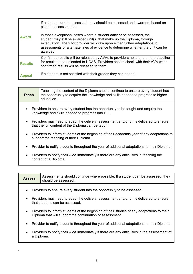| <b>Award</b>   | If a student can be assessed, they should be assessed and awarded, based on<br>planned assessments.                                                                                                                                                                                                                                |
|----------------|------------------------------------------------------------------------------------------------------------------------------------------------------------------------------------------------------------------------------------------------------------------------------------------------------------------------------------|
|                | In those exceptional cases where a student <b>cannot</b> be assessed, the<br>student may still be awarded unit(s) that make up the Diploma, through<br>extenuation. The tutor/provider will draw upon either further adaptations to<br>assessments or alternate lines of evidence to determine whether the unit can be<br>awarded. |
| <b>Results</b> | Confirmed results will be released by AVAs to providers no later than the deadline<br>for results to be uploaded to UCAS. Providers should check with their AVA when<br>confirmed results will be released to them.                                                                                                                |
| <b>Appeal</b>  | If a student is not satisfied with their grades they can appeal.                                                                                                                                                                                                                                                                   |

| <b>Teach</b> | Teaching the content of the Diploma should continue to ensure every student has<br>the opportunity to acquire the knowledge and skills needed to progress to higher<br>education. |
|--------------|-----------------------------------------------------------------------------------------------------------------------------------------------------------------------------------|
| $\bullet$    | Providers to ensure every student has the opportunity to be taught and acquire the<br>knowledge and skills needed to progress into HE.                                            |
| $\bullet$    | Providers may need to adapt the delivery, assessment and/or units delivered to ensure<br>that the full content of the Diploma can be taught.                                      |
| $\bullet$    | Providers to inform students at the beginning of their academic year of any adaptations to<br>support the teaching of their Diploma.                                              |

- Provider to notify students throughout the year of additional adaptations to their Diploma.
- Providers to notify their AVA immediately if there are any difficulties in teaching the content of a Diploma.

| <b>Assess</b>           | Assessments should continue where possible. If a student can be assessed, they<br>should be assessed.                                                   |
|-------------------------|---------------------------------------------------------------------------------------------------------------------------------------------------------|
| $\bullet$               | Providers to ensure every student has the opportunity to be assessed.                                                                                   |
| $\bullet$               | Providers may need to adapt the delivery, assessment and/or units delivered to ensure<br>that students can be assessed.                                 |
| $\bullet$               | Providers to inform students at the beginning of their studies of any adaptations to their<br>Diploma that will support the continuation of assessment. |
| $\bullet$               | Provider to notify students throughout the year of additional adaptations to their Diploma.                                                             |
| $\bullet$<br>a Diploma. | Providers to notify their AVA immediately if there are any difficulties in the assessment of                                                            |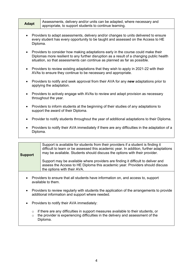| <b>Adapt</b> | Assessments, delivery and/or units can be adapted, where necessary and |
|--------------|------------------------------------------------------------------------|
|              | appropriate, to support students to continue learning.                 |

- Providers to adapt assessments, delivery and/or changes to units delivered to ensure every student has every opportunity to be taught and assessed on the Access to HE Diploma.
- Providers to consider how making adaptations early in the course could make their Diplomas more resilient to any further disruption as a result of a changing public health situation, so that assessments can continue as planned as far as possible.
- Providers to review existing adaptations that they wish to apply in 2021-22 with their AVAs to ensure they continue to be necessary and appropriate.
- Providers to notify and seek approval from their AVA for any **new** adaptations prior to applying the adaptation.
- Providers to actively engage with AVAs to review and adapt provision as necessary throughout the year.
- Providers to inform students at the beginning of their studies of any adaptations to support the award of their Diploma.
- Provider to notify students throughout the year of additional adaptations to their Diploma.
- Providers to notify their AVA immediately if there are any difficulties in the adaptation of a Diploma.

| <b>Support</b> | Support is available for students from their providers if a student is finding it<br>difficult to learn or be assessed this academic year. In addition, further adaptations<br>may be available. Students should discuss the options with their provider. |
|----------------|-----------------------------------------------------------------------------------------------------------------------------------------------------------------------------------------------------------------------------------------------------------|
|                | Support may be available where providers are finding it difficult to deliver and<br>assess the Access to HE Diploma this academic year. Providers should discuss<br>the options with their AVA.                                                           |

- Providers to ensure that all students have information on, and access to, support available to them.
- Providers to review regularly with students the application of the arrangements to provide additional information and support where needed.
- Providers to notify their AVA immediately:
	- $\circ$  if there are any difficulties in support measures available to their students, or  $\circ$  the provider is experiencing difficulties in the delivery and assessment of the
	- the provider is experiencing difficulties in the delivery and assessment of the Diploma.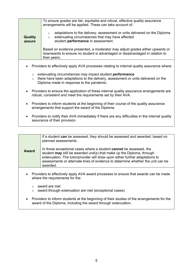| <b>Quality</b>     | To ensure grades are fair, equitable and robust, effective quality assurance<br>arrangements will be applied. These can take account of:<br>adaptations to the delivery, assessment or units delivered on the Diploma<br>$\circ$<br>extenuating circumstances that may have affected<br>$\circ$ |
|--------------------|-------------------------------------------------------------------------------------------------------------------------------------------------------------------------------------------------------------------------------------------------------------------------------------------------|
| assure             | student performance in assessment.                                                                                                                                                                                                                                                              |
|                    | Based on evidence presented, a moderator may adjust grades either upwards or<br>downwards to ensure no student is advantaged or disadvantaged in relation to<br>their peers.                                                                                                                    |
|                    |                                                                                                                                                                                                                                                                                                 |
|                    | Providers to effectively apply AVA processes relating to internal quality assurance where:                                                                                                                                                                                                      |
| $\circ$<br>$\circ$ | extenuating circumstances may impact student <b>performance</b><br>there have been adaptations to the delivery, assessment or units delivered on the<br>Diploma made in response to the pandemic.                                                                                               |
|                    | Providers to ensure the application of these internal quality assurance arrangements are<br>robust, consistent and meet the requirements set by their AVA.                                                                                                                                      |
| $\bullet$          | Providers to inform students at the beginning of their course of the quality assurance<br>arrangements that support the award of the Diploma.                                                                                                                                                   |
|                    | Providers to notify their AVA immediately if there are any difficulties in the internal quality<br>assurance of their provision.                                                                                                                                                                |

| Award     | If a student can be assessed, they should be assessed and awarded, based on<br>planned assessments.<br>In those exceptional cases where a student <b>cannot</b> be assessed, the<br>student <b>may</b> still be awarded unit(s) that make up the Diploma, through<br>extenuation. The tutor/provider will draw upon either further adaptations to<br>assessments or alternate lines of evidence to determine whether the unit can be<br>awarded. |
|-----------|--------------------------------------------------------------------------------------------------------------------------------------------------------------------------------------------------------------------------------------------------------------------------------------------------------------------------------------------------------------------------------------------------------------------------------------------------|
| $\bullet$ | Providers to effectively apply AVA award processes to ensure that awards can be made<br>where the requirements for the:                                                                                                                                                                                                                                                                                                                          |

- o award are met<br>
o award through award through extenuation are met (exceptional cases).
- Providers to inform students at the beginning of their studies of the arrangements for the award of the Diploma, including the award through extenuation.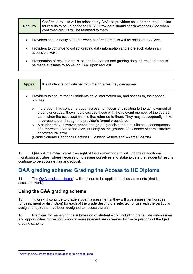| <b>Results</b> | Confirmed results will be released by AVAs to providers no later than the deadline<br>for results to be uploaded to UCAS. Providers should check with their AVA when<br>confirmed results will be released to them. |
|----------------|---------------------------------------------------------------------------------------------------------------------------------------------------------------------------------------------------------------------|
| $\bullet$      | Providers should notify students when confirmed results will be released by AVAs.                                                                                                                                   |

- Providers to continue to collect grading data information and store such data in an accessible way.
- Presentation of results (that is, student outcomes and grading data information) should be made available to AVAs, or QAA, upon request.

| <b>Appeal</b>                                                                                                   | If a student is not satisfied with their grades they can appeal.                                                                                                                                                                                                                                                                                                                                                                                                                                                                                                                                                   |
|-----------------------------------------------------------------------------------------------------------------|--------------------------------------------------------------------------------------------------------------------------------------------------------------------------------------------------------------------------------------------------------------------------------------------------------------------------------------------------------------------------------------------------------------------------------------------------------------------------------------------------------------------------------------------------------------------------------------------------------------------|
| Providers to ensure that all students have information on, and access to, their appeal<br>$\bullet$<br>process. |                                                                                                                                                                                                                                                                                                                                                                                                                                                                                                                                                                                                                    |
| $\circ$                                                                                                         | $\circ$ If a student has concerns about assessment decisions relating to the achievement of<br>credits or grades, they should discuss these with the relevant member of the course<br>team when the assessed work is first returned to them. They may subsequently make<br>a representation through the provider's formal procedures<br>A student may, however, appeal the grading decision that results as a consequence<br>of a representation to the AVA, but only on the grounds of evidence of administrative<br>or procedural error<br>(Grade Scheme Handbook Section E: Student Results and Awards Boards). |

13 QAA will maintain overall oversight of the Framework and will undertake additional monitoring activities, where necessary, to assure ourselves and stakeholders that students' results continue to be accurate, fair and robust.

## <span id="page-8-0"></span>**QAA grading scheme: Grading the Access to HE Diploma**

14 The [QAA grading scheme](http://www.qaa.ac.uk/en/access-to-he/access-to-he-resources)<sup>[1](#page-8-3)</sup> will continue to be applied to all assessments (that is, assessed work).

#### <span id="page-8-1"></span>**Using the QAA grading scheme**

15 Tutors will continue to grade student assessments; they will give assessment grades (of pass, merit or distinction) for each of the grade descriptors selected for use with the particular assignment(s) that have been designed to assess the unit.

<span id="page-8-2"></span>16 Practices for managing the submission of student work, including drafts, late submissions and opportunities for resubmission or reassessment are governed by the regulations of the [QAA](http://www.qaa.ac.uk/en/access-to-he/access-to-he-resources)  [grading scheme.](http://www.qaa.ac.uk/en/access-to-he/access-to-he-resources)

<span id="page-8-3"></span><sup>1</sup> [www.qaa.ac.uk/en/access-to-he/access-to-he-resources](http://www.qaa.ac.uk/en/access-to-he/access-to-he-resources)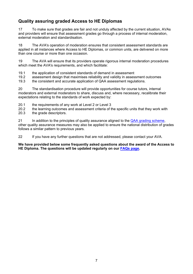#### **Quality assuring graded Access to HE Diplomas**

17 To make sure that grades are fair and not unduly affected by the current situation, AVAs and providers will ensure that assessment grades go through a process of internal moderation, external moderation and standardisation.

18 The AVA's operation of moderation ensures that consistent assessment standards are applied in all instances where Access to HE Diplomas, or common units, are delivered on more than one course or more than one occasion.

19 The AVA will ensure that its providers operate rigorous internal moderation procedures which meet the AVA's requirements, and which facilitate:

19.1 the application of consistent standards of demand in assessment<br>19.2 assessment design that maximises reliability and validity in asses

19.2 assessment design that maximises reliability and validity in assessment outcomes<br>19.3 the consistent and accurate application of QAA assessment regulations.

the consistent and accurate application of QAA assessment regulations.

20 The standardisation procedure will provide opportunities for course tutors, internal moderators and external moderators to share, discuss and, where necessary, recalibrate their expectations relating to the standards of work expected by:

20.1 the requirements of any work at Level 2 or Level 3<br>20.2 the learning outcomes and assessment criteria of t

the learning outcomes and assessment criteria of the specific units that they work with

20.3 the grade descriptors.

21 In addition to the principles of quality assurance aligned to the [QAA grading scheme,](http://www.qaa.ac.uk/en/access-to-he/access-to-he-resources) other quality assurance measures may also be applied to ensure the national distribution of grades follows a similar pattern to previous years.

22 If you have any further questions that are not addressed, please contact your AVA.

#### **We have provided below some frequently asked questions about the award of the Access to HE Diploma. The questions will be updated regularly on our [FAQs page.](https://www.qaa.ac.uk/en/access-to-he/covid-19-support-and-information-Access/faqs-for-access-to-he-providers)**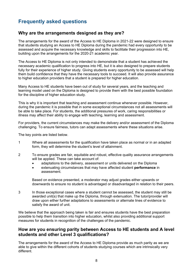## <span id="page-10-0"></span>**Frequently asked questions**

#### <span id="page-10-1"></span>**Why are the arrangements designed as they are?**

The arrangements for the award of the Access to HE Diploma in 2021-22 were designed to ensure that students studying an Access to HE Diploma during the pandemic had every opportunity to be assessed and acquire the necessary knowledge and skills to facilitate their progression into HE, building upon the arrangements for the 2020-21 academic year.

The Access to HE Diploma is not only intended to demonstrate that a student has achieved the necessary academic qualification to progress into HE, but it is also designed to prepare students fully for their experience of higher study. Giving students every opportunity to be assessed will help them build confidence that they have the necessary tools to succeed. It will also provide assurance to higher education providers that a student is prepared for higher education.

Many Access to HE students have been out of study for several years, and the teaching and learning model used on the Diploma is designed to provide them with the best possible foundation for the discipline of higher education study.

This is why it is important that teaching and assessment continue whenever possible. However, during the pandemic it is possible that in some exceptional circumstances not all assessments will be able to take place. For students, the additional pressures of work, caring responsibilities or illness may affect their ability to engage with teaching, learning and assessment.

For providers, the current circumstances may make the delivery and/or assessment of the Diploma challenging. To ensure fairness, tutors can adapt assessments where these situations arise.

The key points are listed below.

- 1 Where all assessments for the qualification have taken place as normal or in an adapted form, they will determine the student's level of attainment.
- 2 To ensure grades are fair, equitable and robust, effective quality assurance arrangements will be applied. These can take account of:
	- adaptations to the delivery, assessment or units delivered on the Diploma
	- extenuating circumstances that may have affected student **performance** in assessment.

Based on evidence presented, a moderator may adjust grades either upwards or downwards to ensure no student is advantaged or disadvantaged in relation to their peers.

3 In those exceptional cases where a student cannot be assessed, the student may still be awarded unit(s) that make up the Diploma, through extenuation. The tutor/provider will draw upon either further adaptations to assessments or alternate lines of evidence to satisfy the award of unit.

We believe that the approach being taken is fair and ensures students have the best preparation possible to help them transition into higher education, whilst also providing additional support measures for students in recognition of the challenges of the pandemic.

#### <span id="page-10-2"></span>**How are you ensuring parity between Access to HE students and A level students and other Level 3 qualifications?**

The arrangements for the award of the Access to HE Diploma provide as much parity as we are able to give within the different cohorts of students studying courses which are intrinsically very different.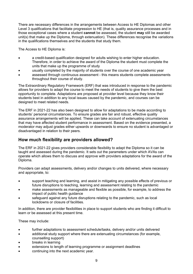There are necessary differences in the arrangements between Access to HE Diplomas and other Level 3 qualifications that facilitate progression to HE (that is, quality assurance processes and in those exceptional cases where a student **cannot** be assessed, the student **may** still be awarded unit(s) that make up the Diploma, through extenuation). These differences recognise the variations in the qualifications themselves and the students that study them.

The Access to HE Diploma is:

- a credit-based qualification designed for adults wishing to enter higher education. Therefore, in order to achieve the award of the Diploma the student must complete the units that make up the programme of study
- usually completed by the majority of students over the course of one academic year
- assessed through continuous assessment this means students complete assessments throughout their course of study.

The Extraordinary Regulatory Framework (ERF) that was introduced in response to the pandemic allows for providers to adapt the course to meet the needs of students to give them the best opportunity to complete. Adaptations are proposed at provider level because they know their students best in addition to any local issues caused by the pandemic, and courses can be designed to meet related needs.

The ERF in 2021-22 has also been designed to allow for adaptations to be made according to students' personal circumstances. To ensure grades are fair and robust, effective quality assurance arrangements will be applied. These can take account of extenuating circumstances that may have affected student performance in assessment. Based on the evidence presented, a moderator may adjust grades either upwards or downwards to ensure no student is advantaged or disadvantaged in relation to their peers.

#### <span id="page-11-0"></span>**How much flexibility are providers allowed?**

The ERF in 2021-22 gives providers considerable flexibility to adapt the Diploma so it can be taught and assessed during the pandemic. It sets out the parameters under which AVAs can operate which allows them to discuss and approve with providers adaptations for the award of the Diploma.

Providers can adapt assessments, delivery and/or changes to units delivered, where necessary and appropriate, to:

- support teaching and learning, and assist in mitigating any possible effects of previous or future disruptions to teaching, learning and assessment relating to the pandemic
- make assessments as manageable and flexible as possible, for example, to address the impact of public health guidance
- safeguard against any future disruptions relating to the pandemic, such as local lockdowns or closure of facilities.

In addition, there are provider flexibilities in place to support students who are finding it difficult to learn or be assessed at this present time.

These may include:

- further adaptations to assessment schedule/tasks, delivery and/or units delivered
- additional study support where there are extenuating circumstances (for example, counselling support)
- breaks in learning
- extensions to length of learning programme or assignment deadlines
- continuing into the next academic year.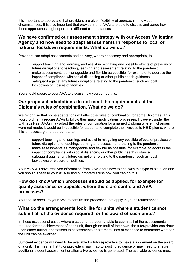It is important to appreciate that providers are given flexibility of approach in individual circumstances. It is also important that providers and AVAs are able to discuss and agree how these approaches might operate in different circumstances.

#### <span id="page-12-0"></span>**We have confirmed our assessment strategy with our Access Validating Agency and now need to adapt assessments in response to local or national lockdown requirements. What do we do?**

Providers can adapt assessments and delivery, where necessary and appropriate, to:

- support teaching and learning, and assist in mitigating any possible effects of previous or future disruptions to teaching, learning and assessment relating to the pandemic
- make assessments as manageable and flexible as possible, for example, to address the impact of compliance with social distancing or other public health guidance
- safeguard against any future disruptions relating to the pandemic, such as local lockdowns or closure of facilities.

You should speak to your AVA to discuss how you can do this.

#### <span id="page-12-1"></span>**Our proposed adaptations do not meet the requirements of the Diploma's rules of combination. What do we do?**

We recognise that some adaptations will affect the rules of combination for some Diplomas. This would ordinarily require AVAs to follow their major modifications processes. However, under the ERF 2021-22, AVAs may adapt the rules of combination for a named Diploma where, if changes were not made, it would be impossible for students to complete their Access to HE Diploma, where this is necessary and appropriate to:

- support teaching and learning, and assist in mitigating any possible effects of previous or future disruptions to teaching, learning and assessment relating to the pandemic
- make assessments as manageable and flexible as possible, for example, to address the impact of compliance with social distancing or other public health guidance
- safeguard against any future disruptions relating to the pandemic, such as local lockdowns or closure of facilities.

Your AVA will have received information from QAA about how to deal with this type of situation and you should speak to your AVA to find out more/discuss how you can do this.

#### <span id="page-12-2"></span>**How do I know which processes should be applied, for example for quality assurance or appeals, where there are centre and AVA processes?**

You should speak to your AVA to confirm the processes that apply in your circumstances.

#### <span id="page-12-3"></span>**What do the arrangements look like for units where a student cannot submit all of the evidence required for the award of such units?**

In those exceptional cases where a student has been unable to submit all of the assessments required for the achievement of each unit, through no fault of their own, the tutor/provider can draw upon either further adaptations to assessments or alternate lines of evidence to determine whether the unit can be awarded.

Sufficient evidence will need to be available for tutors/providers to make a judgement on the award of a unit. This means that tutors/providers may map to existing evidence or may need to ensure additional student assessment or alternative evidence is generated. The available evidence must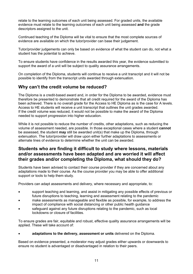relate to the learning outcomes of each unit being assessed. For graded units, the available evidence must relate to the learning outcomes of each unit being assessed **and** the grade descriptors assigned to the unit.

Continued teaching of the Diploma will be vital to ensure that the most complete sources of evidence are available on which the tutor/provider can base their judgement.

Tutor/provider judgements can only be based on evidence of what the student can do, not what a student has the potential to achieve.

To ensure students have confidence in the results awarded this year, the evidence submitted to support the award of a unit will be subject to quality assurance arrangements.

On completion of the Diploma, students will continue to receive a unit transcript and it will not be possible to identify from the transcript units awarded through extenuation.

#### <span id="page-13-0"></span>**Why can't the credit volume be reduced?**

The Diploma is a credit-based award and, in order for the Diploma to be awarded, evidence must therefore be presented to demonstrate that all credit required for the award of the Diploma has been achieved. There is no overall grade for the Access to HE Diploma as is the case for A levels. Access to HE students will receive a unit transcript that outlines the unit grades awarded. If the credit volume was reduced, it would not be possible to make the award of the Diploma needed to support progression into higher education.

While it is not possible to reduce the number of credits, other adaptations, such as reducing the volume of assessment needed, are possible. In those exceptional cases where a student **cannot**  be assessed, the student **may** still be awarded unit(s) that make up the Diploma, through extenuation. The tutor/provider will draw upon either further adaptations to assessments or alternate lines of evidence to determine whether the unit can be awarded.

#### <span id="page-13-1"></span>**Students who are finding it difficult to study where lessons, materials and/or assessments have been adapted and are worried it will affect their grades and/or completing the Diploma, what should they do?**

Students have been advised to contact their course provider if they are concerned about any adaptations made to their course. As the course provider you may be able to offer additional support or tools to help them study.

Providers can adapt assessments and delivery, where necessary and appropriate, to:

- support teaching and learning, and assist in mitigating any possible effects of previous or future disruptions to teaching, learning and assessment relating to the pandemic
- make assessments as manageable and flexible as possible, for example, to address the impact of compliance with social distancing or other public health guidance
- safeguard against any future disruptions relating to the pandemic, such as local lockdowns or closure of facilities.

To ensure grades are fair, equitable and robust, effective quality assurance arrangements will be applied. These will take account of:

• **adaptations to the delivery, assessment or units** delivered on the Diploma.

Based on evidence presented, a moderator may adjust grades either upwards or downwards to ensure no student is advantaged or disadvantaged in relation to their peers.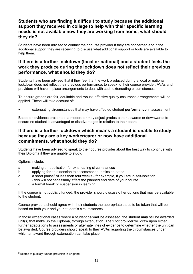#### <span id="page-14-0"></span>**Students who are finding it difficult to study because the additional support they received in college to help with their specific learning needs is not available now they are working from home, what should they do?**

Students have been advised to contact their course provider if they are concerned about the additional support they are receiving to discuss what additional support or tools are available to help them.

#### <span id="page-14-1"></span>**If there is a further lockdown (local or national) and a student feels the work they produce during the lockdown does not reflect their previous performance, what should they do?**

Students have been advised that if they feel that the work produced during a local or national lockdown does not reflect their previous performance, to speak to their course provider. AVAs and providers will have in place arrangements to deal with such extenuating circumstances.

To ensure grades are fair, equitable and robust, effective quality assurance arrangements will be applied. These will take account of:

• extenuating circumstances that may have affected student **performance** in assessment.

Based on evidence presented, a moderator may adjust grades either upwards or downwards to ensure no student is advantaged or disadvantaged in relation to their peers.

#### <span id="page-14-2"></span>**If there is a further lockdown which means a student is unable to study because they are a key worker/carer or now have additional commitments, what should they do?**

Students have been advised to speak to their course provider about the best way to continue with their Diploma if they are unable to study.

Options include:

- a making an application for extenuating circumstances
- b applying for an extension to assessment submission dates
- c a short pause[2](#page-14-3) of less than four weeks for example, if you are in self-isolation - this will not necessarily affect the planned end date of your course
- d a formal break or suspension in learning.

If the course is not publicly funded, the provider should discuss other options that may be available to the student.

Course providers should agree with their students the appropriate steps to be taken that will be based on both your and your student's circumstances.

In those exceptional cases where a student **cannot** be assessed, the student **may** still be awarded unit(s) that make up the Diploma, through extenuation. The tutor/provider will draw upon either further adaptations to assessments or alternate lines of evidence to determine whether the unit can be awarded. Course providers should speak to their AVAs regarding the circumstances under which an award through extenuation can take place.

<span id="page-14-3"></span><sup>&</sup>lt;sup>2</sup> relates to publicly funded provision in England.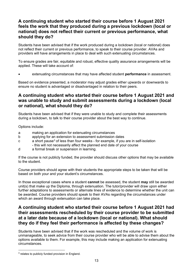#### <span id="page-15-0"></span>**A continuing student who started their course before 1 August 2021 feels the work that they produced during a previous lockdown (local or national) does not reflect their current or previous performance, what should they do?**

Students have been advised that if the work produced during a lockdown (local or national) does not reflect their current or previous performance, to speak to their course provider. AVAs and providers will have arrangements in place to deal with such extenuating circumstances.

To ensure grades are fair, equitable and robust, effective quality assurance arrangements will be applied. These will take account of:

• extenuating circumstances that may have affected student **performance** in assessment.

Based on evidence presented, a moderator may adjust grades either upwards or downwards to ensure no student is advantaged or disadvantaged in relation to their peers.

#### <span id="page-15-1"></span>**A continuing student who started their course before 1 August 2021 and was unable to study and submit assessments during a lockdown (local or national), what should they do?**

Students have been advised that if they were unable to study and complete their assessments during a lockdown, to talk to their course provider about the best way to continue.

Options include:

- a making an application for extenuating circumstances
- b applying for an extension to assessment submission dates
- c a short pause[3](#page-15-3) of less than four weeks for example, if you are in self-isolation - this will not necessarily affect the planned end date of your course
- d a formal break or suspension in learning.

If the course is not publicly funded, the provider should discuss other options that may be available to the student.

Course providers should agree with their students the appropriate steps to be taken that will be based on both your and your student's circumstances.

In those exceptional cases where a student **cannot** be assessed, the student **may** still be awarded unit(s) that make up the Diploma, through extenuation. The tutor/provider will draw upon either further adaptations to assessments or alternate lines of evidence to determine whether the unit can be awarded. Course providers should speak to their AVAs regarding the circumstances under which an award through extenuation can take place.

#### <span id="page-15-2"></span>**A continuing student who started their course before 1 August 2021 had their assessments rescheduled by their course provider to be submitted at a later date because of a lockdown (local or national). What should they do if they feel their performance is affected by these changes?**

Students have been advised that if the work was rescheduled and the volume of work is unmanageable, to seek advice from their course provider who will be able to advise them about the options available to them. For example, this may include making an application for extenuating circumstances.

<span id="page-15-3"></span> $3$  relates to publicly funded provision in England.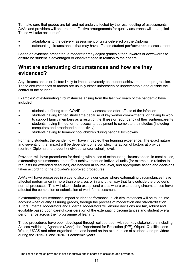To make sure that grades are fair and not unduly affected by the rescheduling of assessments, AVAs and providers will ensure that effective arrangements for quality assurance will be applied. These will take account of:

- adaptations to the delivery, assessment or units delivered on the Diploma
- extenuating circumstances that may have affected student **performance** in assessment.

Based on evidence presented, a moderator may adjust grades either upwards or downwards to ensure no student is advantaged or disadvantaged in relation to their peers.

### <span id="page-16-0"></span>**What are extenuating circumstances and how are they evidenced?**

Any circumstances or factors likely to impact adversely on student achievement and progression. These circumstances or factors are usually either unforeseen or unpreventable and outside the control of the student.

Examples<sup>[4](#page-16-1)</sup> of extenuating circumstances arising from the last two years of the pandemic have included:

- students suffering from COVID and any associated after-effects of the infection
- students having limited study time because of key worker commitments, or having to work to support family members as a result of the illness or redundancy of their partner/parents
- students having limited, or no, access to equipment to complete their studies (including computers and broadband connectivity)
- students having to home-school children during national lockdowns.

For many students, the pandemic will have impacted their learning experience. The exact nature and severity of that impact will be dependent on a complex interaction of factors at provider (centre), Diploma and student (individual and/or cohort) level.

Providers will have procedures for dealing with cases of extenuating circumstances. In most cases, extenuating circumstances that affect achievement on individual units (for example, in relation to requests for extended deadlines) are handled at course level, and appropriate action and decisions taken according to the provider's approved procedures.

AVAs will have processes in place to also consider cases where extenuating circumstances have affected performance in more than one area, or in any other way that falls outside the provider's normal processes. This will also include exceptional cases where extenuating circumstances have affected the completion or submission of work for assessment.

If extenuating circumstances impact student performance, such circumstances will be taken into account when quality assuring grades, through the process of moderation and standardisation. Tutors, Internal Moderators and External Moderators will ensure decisions are fair, robust and equitable based upon careful consideration of the extenuating circumstances and student overall performance across their programme of learning.

These procedures have been developed through collaboration with our key stakeholders including Access Validating Agencies (AVAs), the Department for Education (DfE), Ofqual, Qualifications Wales, UCAS and other organisations, and based on the experiences of students and providers during the 2019-20 and 2020-21 academic years.

<span id="page-16-1"></span><sup>&</sup>lt;sup>4</sup> The list of examples provided is not exhaustive and is shared to assist course providers.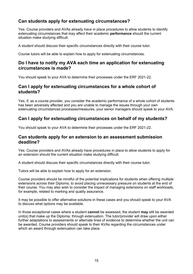#### <span id="page-17-0"></span>**Can students apply for extenuating circumstances?**

Yes. Course providers and AVAs already have in place procedures to allow students to identify extenuating circumstances that may affect their academic **performance** should the current situation make studying difficult.

A student should discuss their specific circumstances directly with their course tutor.

Course tutors will be able to explain how to apply for extenuating circumstances.

#### <span id="page-17-1"></span>**Do I have to notify my AVA each time an application for extenuating circumstances is made?**

You should speak to your AVA to determine their processes under the ERF 2021-22.

#### <span id="page-17-2"></span>**Can I apply for extenuating circumstances for a whole cohort of students?**

Yes, if, as a course provider, you consider the academic performance of a whole cohort of students has been adversely affected and you are unable to manage the issues through your own extenuating circumstances processes/measures, your senior managers should speak to your AVA.

#### <span id="page-17-3"></span>**Can I apply for extenuating circumstances on behalf of my students?**

You should speak to your AVA to determine their processes under the ERF 2021-22.

#### <span id="page-17-4"></span>**Can students apply for an extension to an assessment submission deadline?**

Yes. Course providers and AVAs already have procedures in place to allow students to apply for an extension should the current situation make studying difficult.

A student should discuss their specific circumstances directly with their course tutor.

Tutors will be able to explain how to apply for an extension.

Course providers should be mindful of the potential implications for students when offering multiple extensions across their Diploma, to avoid placing unnecessary pressure on students at the end of their course. You may also wish to consider the impact of managing extensions on staff workloads, for example, related to marking and quality assurance.

It may be possible to offer alternative solutions in these cases and you should speak to your AVA to discuss what options may be available.

<span id="page-17-5"></span>In those exceptional cases where a student **cannot** be assessed, the student **may** still be awarded unit(s) that make up the Diploma, through extenuation. The tutor/provider will draw upon either further adaptations to assessments or alternate lines of evidence to determine whether the unit can be awarded. Course providers should speak to their AVAs regarding the circumstances under which an award through extenuation can take place.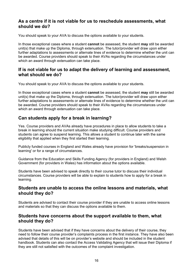#### **As a centre if it is not viable for us to reschedule assessments, what should we do?**

You should speak to your AVA to discuss the options available to your students.

In those exceptional cases where a student **cannot** be assessed, the student **may** still be awarded unit(s) that make up the Diploma, through extenuation. The tutor/provider will draw upon either further adaptations to assessments or alternate lines of evidence to determine whether the unit can be awarded. Course providers should speak to their AVAs regarding the circumstances under which an award through extenuation can take place.

#### <span id="page-18-0"></span>**If is not viable for us to adapt the delivery of learning and assessment, what should we do?**

You should speak to your AVA to discuss the options available to your students.

In those exceptional cases where a student **cannot** be assessed, the student **may** still be awarded unit(s) that make up the Diploma, through extenuation. The tutor/provider will draw upon either further adaptations to assessments or alternate lines of evidence to determine whether the unit can be awarded. Course providers should speak to their AVAs regarding the circumstances under which an award through extenuation can take place.

#### <span id="page-18-1"></span>**Can students apply for a break in learning?**

Yes. Course providers and AVAs already have procedures in place to allow students to take a break in learning should the current situation make studying difficult. Course providers and students can agree to suspend learning. This allows a student to continue later with the same eligibility that applied when they first started their learning.

Publicly funded courses in England and Wales already have provision for 'breaks/suspension in learning' or for a range of circumstances.

Guidance from the Education and Skills Funding Agency (for providers in England) and Welsh Government (for providers in Wales) has information about the options available.

Students have been advised to speak directly to their course tutor to discuss their individual circumstances. Course providers will be able to explain to students how to apply for a break in learning.

#### <span id="page-18-2"></span>**Students are unable to access the online lessons and materials, what should they do?**

Students are advised to contact their course provider if they are unable to access online lessons and materials so that they can discuss the options available to them.

#### <span id="page-18-3"></span>**Students have concerns about the support available to them, what should they do?**

Students have been advised that if they have concerns about the delivery of their course, they need to follow their course provider's complaints process in the first instance. They have also been advised that details of this will be on provider's website and should be included in the student handbook. Students can also contact the Access Validating Agency that will issue their Diploma if they are still not satisfied with the outcomes of the complaint investigation.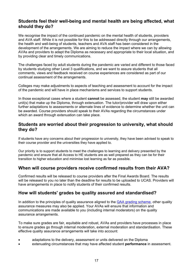#### <span id="page-19-0"></span>**Students feel their well-being and mental health are being affected, what should they do?**

We recognise the impact of the continued pandemic on the mental health of students, providers and AVA staff. While it is not possible for this to be addressed directly through our arrangements, the health and well-being of students, teachers and AVA staff has been considered in the development of the arrangements. We are aiming to reduce the impact where we can by allowing AVAs and providers to adapt the Diploma as necessary and appropriate to their local situation, and by providing clear and timely communications.

The challenges faced by adult students during the pandemic are varied and different to those faced by students studying other Level 3 qualifications, and we want to assure students that all comments, views and feedback received on course experiences are considered as part of our continual assessment of the arrangements.

Colleges may make adjustments to aspects of teaching and assessment to account for the impact of the pandemic and will have in place mechanisms and services to support students.

In those exceptional cases where a student **cannot** be assessed, the student **may** still be awarded unit(s) that make up the Diploma, through extenuation. The tutor/provider will draw upon either further adaptations to assessments or alternate lines of evidence to determine whether the unit can be awarded. Course providers should speak to their AVAs regarding the circumstances under which an award through extenuation can take place.

#### <span id="page-19-1"></span>**Students are worried about their progression to university, what should they do?**

If students have any concerns about their progression to university, they have been advised to speak to their course provider and the universities they have applied to.

Our priority is to support students to meet the challenges to learning and delivery presented by the pandemic and ensure that all Access to HE students are as well prepared as they can be for their transition to higher education and minimise lost learning as far as possible.

#### <span id="page-19-2"></span>**When will course providers receive confirmed results from their AVA?**

Confirmed results will be released to course providers after the Final Awards Board. The results will be released to you no later than the deadline for results to be uploaded to UCAS. Providers will have arrangements in place to notify students of their confirmed results.

#### <span id="page-19-3"></span>**How will students' grades be quality assured and standardised?**

In addition to the principles of quality assurance aligned to the **QAA grading scheme**, other quality assurance measures may also be applied. Your AVAs will ensure that information and communications are made available to you (including internal moderators) on the quality assurance arrangements.

To make sure grades are fair, equitable and robust, AVAs and providers have processes in place to ensure grades go through internal moderation, external moderation and standardisation. These effective quality assurance arrangements will take into account:

- adaptations to the delivery, assessment or units delivered on the Diploma
- extenuating circumstances that may have affected student **performance** in assessment.